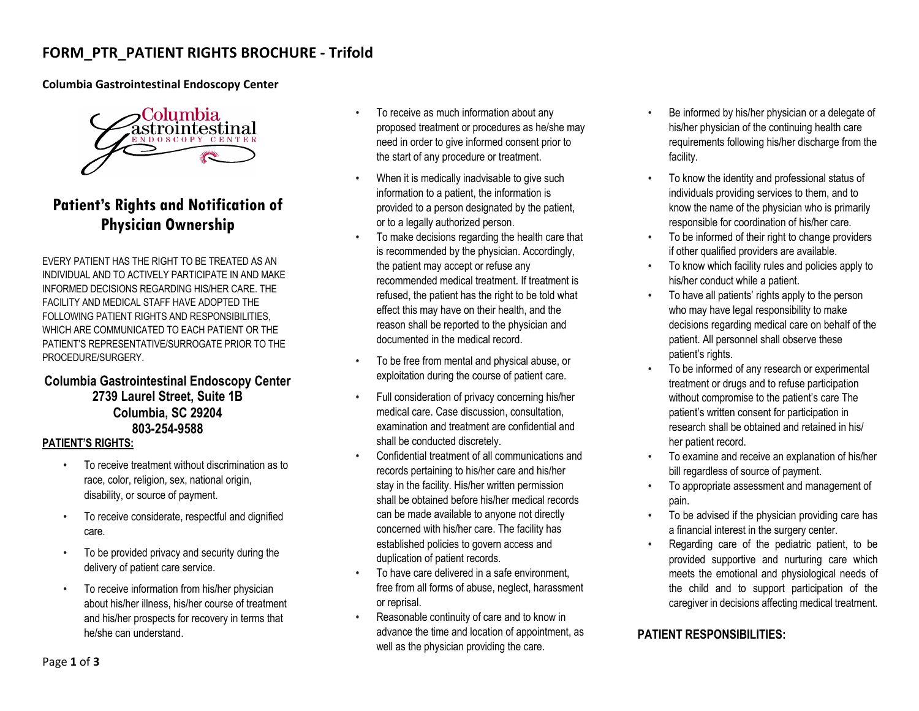# **FORM\_PTR\_PATIENT RIGHTS BROCHURE - Trifold**

### **Columbia Gastrointestinal Endoscopy Center**



# **Patient's Rights and Notification of Physician Ownership**

EVERY PATIENT HAS THE RIGHT TO BE TREATED AS AN INDIVIDUAL AND TO ACTIVELY PARTICIPATE IN AND MAKE INFORMED DECISIONS REGARDING HIS/HER CARE. THE FACILITY AND MEDICAL STAFF HAVE ADOPTED THE FOLLOWING PATIENT RIGHTS AND RESPONSIBILITIES, WHICH ARE COMMUNICATED TO EACH PATIENT OR THE PATIENT'S REPRESENTATIVE/SURROGATE PRIOR TO THE PROCEDURE/SURGERY.

## **Columbia Gastrointestinal Endoscopy Center 2739 Laurel Street, Suite 1B Columbia, SC 29204 803-254-9588**

### **PATIENT'S RIGHTS:**

- To receive treatment without discrimination as to race, color, religion, sex, national origin, disability, or source of payment.
- To receive considerate, respectful and dignified care.
- To be provided privacy and security during the delivery of patient care service.
- To receive information from his/her physician about his/her illness, his/her course of treatment and his/her prospects for recovery in terms that he/she can understand.
- To receive as much information about any proposed treatment or procedures as he/she may need in order to give informed consent prior to the start of any procedure or treatment.
- When it is medically inadvisable to give such information to a patient, the information is provided to a person designated by the patient, or to a legally authorized person.
- To make decisions regarding the health care that is recommended by the physician. Accordingly, the patient may accept or refuse any recommended medical treatment. If treatment is refused, the patient has the right to be told what effect this may have on their health, and the reason shall be reported to the physician and documented in the medical record.
- To be free from mental and physical abuse, or exploitation during the course of patient care.
- Full consideration of privacy concerning his/her medical care. Case discussion, consultation, examination and treatment are confidential and shall be conducted discretely.
- Confidential treatment of all communications and records pertaining to his/her care and his/her stay in the facility. His/her written permission shall be obtained before his/her medical records can be made available to anyone not directly concerned with his/her care. The facility has established policies to govern access and duplication of patient records.
- To have care delivered in a safe environment. free from all forms of abuse, neglect, harassment or reprisal.
- Reasonable continuity of care and to know in advance the time and location of appointment, as well as the physician providing the care.
- Be informed by his/her physician or a delegate of his/her physician of the continuing health care requirements following his/her discharge from the facility.
- To know the identity and professional status of individuals providing services to them, and to know the name of the physician who is primarily responsible for coordination of his/her care.
- To be informed of their right to change providers if other qualified providers are available.
- To know which facility rules and policies apply to his/her conduct while a patient.
- To have all patients' rights apply to the person who may have legal responsibility to make decisions regarding medical care on behalf of the patient. All personnel shall observe these patient's rights.
- To be informed of any research or experimental treatment or drugs and to refuse participation without compromise to the patient's care The patient's written consent for participation in research shall be obtained and retained in his/ her patient record.
- To examine and receive an explanation of his/her bill regardless of source of payment.
- To appropriate assessment and management of pain.
- To be advised if the physician providing care has a financial interest in the surgery center.
- Regarding care of the pediatric patient, to be provided supportive and nurturing care which meets the emotional and physiological needs of the child and to support participation of the caregiver in decisions affecting medical treatment.

## **PATIENT RESPONSIBILITIES:**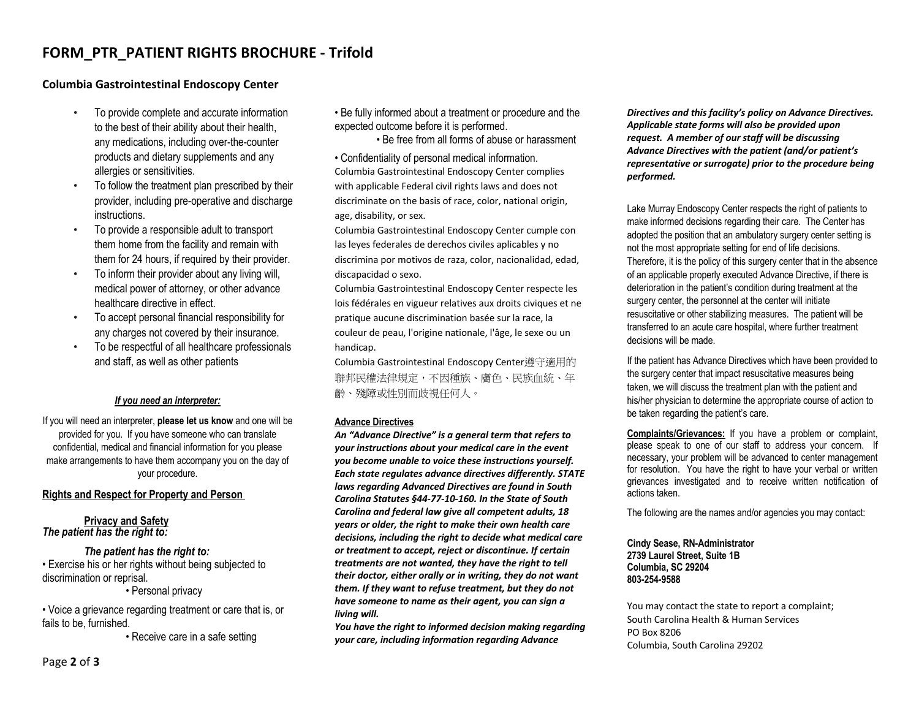## **FORM\_PTR\_PATIENT RIGHTS BROCHURE - Trifold**

### **Columbia Gastrointestinal Endoscopy Center**

- To provide complete and accurate information to the best of their ability about their health, any medications, including over-the-counter products and dietary supplements and any allergies or sensitivities.
- To follow the treatment plan prescribed by their provider, including pre-operative and discharge instructions.
- To provide a responsible adult to transport them home from the facility and remain with them for 24 hours, if required by their provider.
- To inform their provider about any living will, medical power of attorney, or other advance healthcare directive in effect.
- To accept personal financial responsibility for any charges not covered by their insurance.
- To be respectful of all healthcare professionals and staff, as well as other patients

### *If you need an interpreter:*

If you will need an interpreter, **please let us know** and one will be provided for you. If you have someone who can translate confidential, medical and financial information for you please make arrangements to have them accompany you on the day of your procedure.

### **Rights and Respect for Property and Person**

**Privacy and Safety** *The patient has the right to:*

#### *The patient has the right to:*

• Exercise his or her rights without being subjected to discrimination or reprisal.

• Personal privacy

• Voice a grievance regarding treatment or care that is, or fails to be, furnished.

• Receive care in a safe setting

• Be fully informed about a treatment or procedure and the expected outcome before it is performed.

• Be free from all forms of abuse or harassment

• Confidentiality of personal medical information. Columbia Gastrointestinal Endoscopy Center complies with applicable Federal civil rights laws and does not discriminate on the basis of race, color, national origin, age, disability, or sex.

Columbia Gastrointestinal Endoscopy Center cumple con las leyes federales de derechos civiles aplicables y no discrimina por motivos de raza, color, nacionalidad, edad, discapacidad o sexo.

Columbia Gastrointestinal Endoscopy Center respecte les lois fédérales en vigueur relatives aux droits civiques et ne pratique aucune discrimination basée sur la race, la couleur de peau, l'origine nationale, l'âge, le sexe ou un handicap.

Columbia Gastrointestinal Endoscopy Center遵守適用的 聯邦民權法律規定,不因種族、膚色、民族血統、年 齡、殘障或性別而歧視任何人。

#### **Advance Directives**

*An "Advance Directive" is a general term that refers to your instructions about your medical care in the event you become unable to voice these instructions yourself. Each state regulates advance directives differently. STATE laws regarding Advanced Directives are found in South Carolina Statutes §44-77-10-160. In the State of South Carolina and federal law give all competent adults, 18 years or older, the right to make their own health care decisions, including the right to decide what medical care or treatment to accept, reject or discontinue. If certain treatments are not wanted, they have the right to tell their doctor, either orally or in writing, they do not want them. If they want to refuse treatment, but they do not have someone to name as their agent, you can sign a living will.*

*You have the right to informed decision making regarding your care, including information regarding Advance* 

*Directives and this facility's policy on Advance Directives. Applicable state forms will also be provided upon request. A member of our staff will be discussing Advance Directives with the patient (and/or patient's representative or surrogate) prior to the procedure being performed.*

Lake Murray Endoscopy Center respects the right of patients to make informed decisions regarding their care. The Center has adopted the position that an ambulatory surgery center setting is not the most appropriate setting for end of life decisions. Therefore, it is the policy of this surgery center that in the absence of an applicable properly executed Advance Directive, if there is deterioration in the patient's condition during treatment at the surgery center, the personnel at the center will initiate resuscitative or other stabilizing measures. The patient will be transferred to an acute care hospital, where further treatment decisions will be made.

If the patient has Advance Directives which have been provided to the surgery center that impact resuscitative measures being taken, we will discuss the treatment plan with the patient and his/her physician to determine the appropriate course of action to be taken regarding the patient's care.

**Complaints/Grievances:** If you have a problem or complaint, please speak to one of our staff to address your concern. If necessary, your problem will be advanced to center management for resolution. You have the right to have your verbal or written grievances investigated and to receive written notification of actions taken.

The following are the names and/or agencies you may contact:

**Cindy Sease, RN-Administrator 2739 Laurel Street, Suite 1B Columbia, SC 29204 803-254-9588**

You may contact the state to report a complaint; South Carolina Health & Human Services PO Box 8206 Columbia, South Carolina 29202